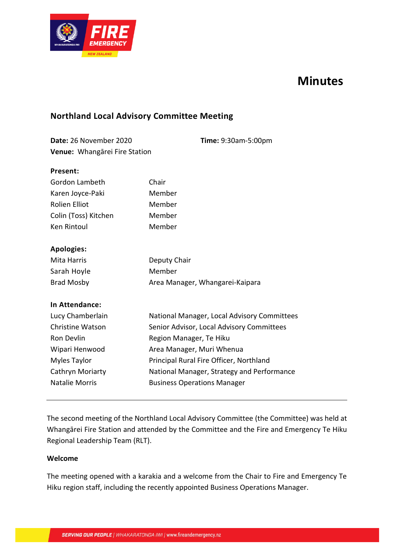

# **Minutes**

# **Northland Local Advisory Committee Meeting**

| <b>Date: 26 November 2020</b> | <b>Time: 9:30am-5:00pm</b> |
|-------------------------------|----------------------------|
| Venue: Whangārei Fire Station |                            |

#### **Present:**

| Gordon Lambeth          | Chair                                       |
|-------------------------|---------------------------------------------|
| Karen Joyce-Paki        | Member                                      |
| Rolien Elliot           | Member                                      |
| Colin (Toss) Kitchen    | Member                                      |
| Ken Rintoul             | Member                                      |
|                         |                                             |
| <b>Apologies:</b>       |                                             |
| Mita Harris             | Deputy Chair                                |
| Sarah Hoyle             | Member                                      |
| <b>Brad Mosby</b>       | Area Manager, Whangarei-Kaipara             |
|                         |                                             |
| <b>In Attendance:</b>   |                                             |
| Lucy Chamberlain        | National Manager, Local Advisory Committees |
| <b>Christine Watson</b> | Senior Advisor, Local Advisory Committees   |
| Ron Devlin              | Region Manager, Te Hiku                     |
| Wipari Henwood          | Area Manager, Muri Whenua                   |
|                         |                                             |

Myles Taylor Cathryn Moriarty Principal Rural Fire Officer, Northland National Manager, Strategy and Performance

Natalie Morris Business Operations Manager

The second meeting of the Northland Local Advisory Committee (the Committee) was held at Whangārei Fire Station and attended by the Committee and the Fire and Emergency Te Hiku Regional Leadership Team (RLT).

#### **Welcome**

The meeting opened with a karakia and a welcome from the Chair to Fire and Emergency Te Hiku region staff, including the recently appointed Business Operations Manager.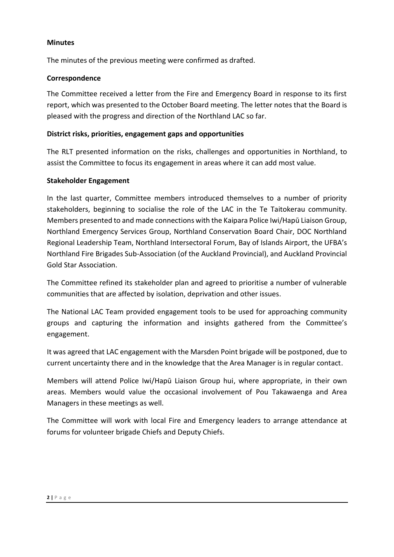#### **Minutes**

The minutes of the previous meeting were confirmed as drafted.

### **Correspondence**

The Committee received a letter from the Fire and Emergency Board in response to its first report, which was presented to the October Board meeting. The letter notes that the Board is pleased with the progress and direction of the Northland LAC so far.

### **District risks, priorities, engagement gaps and opportunities**

The RLT presented information on the risks, challenges and opportunities in Northland, to assist the Committee to focus its engagement in areas where it can add most value.

#### **Stakeholder Engagement**

In the last quarter, Committee members introduced themselves to a number of priority stakeholders, beginning to socialise the role of the LAC in the Te Taitokerau community. Members presented to and made connections with the Kaipara Police Iwi/Hapū Liaison Group, Northland Emergency Services Group, Northland Conservation Board Chair, DOC Northland Regional Leadership Team, Northland Intersectoral Forum, Bay of Islands Airport, the UFBA's Northland Fire Brigades Sub-Association (of the Auckland Provincial), and Auckland Provincial Gold Star Association.

The Committee refined its stakeholder plan and agreed to prioritise a number of vulnerable communities that are affected by isolation, deprivation and other issues.

The National LAC Team provided engagement tools to be used for approaching community groups and capturing the information and insights gathered from the Committee's engagement.

It was agreed that LAC engagement with the Marsden Point brigade will be postponed, due to current uncertainty there and in the knowledge that the Area Manager is in regular contact.

Members will attend Police Iwi/Hapū Liaison Group hui, where appropriate, in their own areas. Members would value the occasional involvement of Pou Takawaenga and Area Managers in these meetings as well.

The Committee will work with local Fire and Emergency leaders to arrange attendance at forums for volunteer brigade Chiefs and Deputy Chiefs.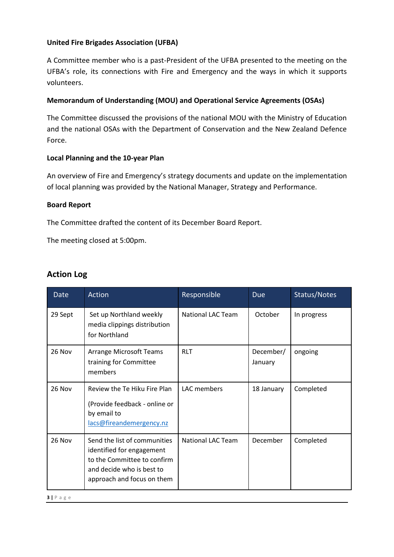## **United Fire Brigades Association (UFBA)**

A Committee member who is a past-President of the UFBA presented to the meeting on the UFBA's role, its connections with Fire and Emergency and the ways in which it supports volunteers.

### **Memorandum of Understanding (MOU) and Operational Service Agreements (OSAs)**

The Committee discussed the provisions of the national MOU with the Ministry of Education and the national OSAs with the Department of Conservation and the New Zealand Defence Force.

#### **Local Planning and the 10-year Plan**

An overview of Fire and Emergency's strategy documents and update on the implementation of local planning was provided by the National Manager, Strategy and Performance.

#### **Board Report**

The Committee drafted the content of its December Board Report.

The meeting closed at 5:00pm.

| <b>Date</b> | Action                                                                                                                                              | Responsible              | <b>Due</b>           | Status/Notes |
|-------------|-----------------------------------------------------------------------------------------------------------------------------------------------------|--------------------------|----------------------|--------------|
| 29 Sept     | Set up Northland weekly<br>media clippings distribution<br>for Northland                                                                            | National LAC Team        | October              | In progress  |
| 26 Nov      | Arrange Microsoft Teams<br>training for Committee<br>members                                                                                        | <b>RLT</b>               | December/<br>January | ongoing      |
| 26 Nov      | Review the Te Hiku Fire Plan<br>(Provide feedback - online or<br>by email to<br>lacs@fireandemergency.nz                                            | LAC members              | 18 January           | Completed    |
| 26 Nov      | Send the list of communities<br>identified for engagement<br>to the Committee to confirm<br>and decide who is best to<br>approach and focus on them | <b>National LAC Team</b> | December             | Completed    |

## **Action Log**